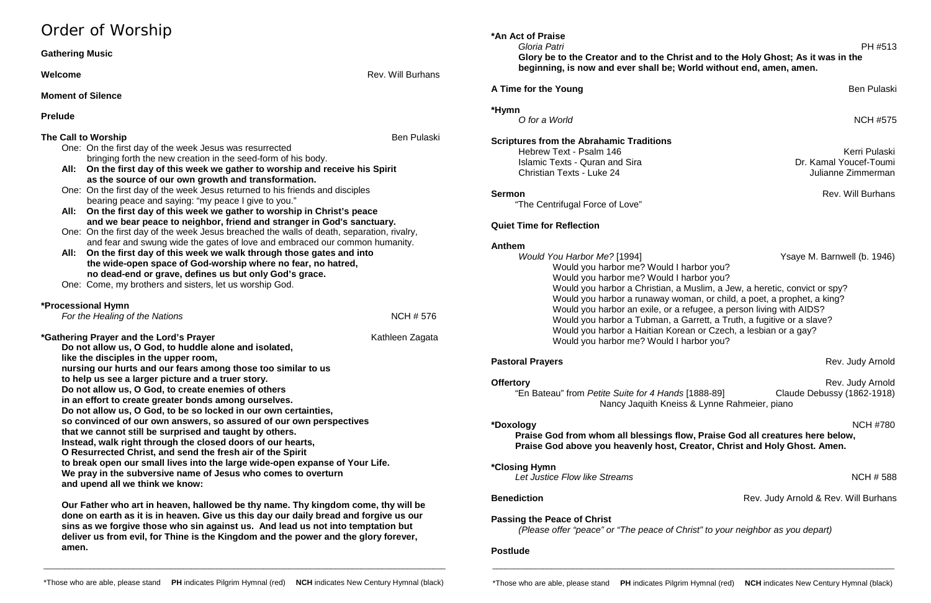# Order of Worship

| <b>Gathering Music</b>                                                                                                   |                    | Gloria Patri<br>PH #513<br>Glory be to the Creator and to the Christ and to the Holy Ghost; As it was in the |                                      |
|--------------------------------------------------------------------------------------------------------------------------|--------------------|--------------------------------------------------------------------------------------------------------------|--------------------------------------|
| <b>Welcome</b>                                                                                                           | Rev. Will Burhans  | beginning, is now and ever shall be; World without end, amen, amen.                                          |                                      |
| <b>Moment of Silence</b>                                                                                                 |                    | A Time for the Young                                                                                         | <b>Ben Pulaski</b>                   |
|                                                                                                                          |                    | *Hymn                                                                                                        |                                      |
| <b>Prelude</b>                                                                                                           |                    | O for a World                                                                                                | <b>NCH #575</b>                      |
| The Call to Worship                                                                                                      | <b>Ben Pulaski</b> | <b>Scriptures from the Abrahamic Traditions</b>                                                              |                                      |
| One: On the first day of the week Jesus was resurrected                                                                  |                    | Hebrew Text - Psalm 146                                                                                      | Kerri Pulaski                        |
| bringing forth the new creation in the seed-form of his body.                                                            |                    | <b>Islamic Texts - Quran and Sira</b>                                                                        | Dr. Kamal Youcef-Toumi               |
| All: On the first day of this week we gather to worship and receive his Spirit                                           |                    | <b>Christian Texts - Luke 24</b>                                                                             | Julianne Zimmerman                   |
| as the source of our own growth and transformation.                                                                      |                    |                                                                                                              |                                      |
| One: On the first day of the week Jesus returned to his friends and disciples                                            |                    | <b>Sermon</b>                                                                                                | Rev. Will Burhans                    |
| bearing peace and saying: "my peace I give to you."                                                                      |                    | "The Centrifugal Force of Love"                                                                              |                                      |
| All: On the first day of this week we gather to worship in Christ's peace                                                |                    |                                                                                                              |                                      |
| and we bear peace to neighbor, friend and stranger in God's sanctuary.                                                   |                    | <b>Quiet Time for Reflection</b>                                                                             |                                      |
| One: On the first day of the week Jesus breached the walls of death, separation, rivalry,                                |                    |                                                                                                              |                                      |
| and fear and swung wide the gates of love and embraced our common humanity.                                              |                    | <b>Anthem</b>                                                                                                |                                      |
| All: On the first day of this week we walk through those gates and into                                                  |                    | Would You Harbor Me? [1994]                                                                                  | Ysaye M. Barnwell (b. 1946)          |
| the wide-open space of God-worship where no fear, no hatred,                                                             |                    | Would you harbor me? Would I harbor you?                                                                     |                                      |
| no dead-end or grave, defines us but only God's grace.                                                                   |                    | Would you harbor me? Would I harbor you?                                                                     |                                      |
| One: Come, my brothers and sisters, let us worship God.                                                                  |                    | Would you harbor a Christian, a Muslim, a Jew, a heretic, convict or spy?                                    |                                      |
|                                                                                                                          |                    | Would you harbor a runaway woman, or child, a poet, a prophet, a king?                                       |                                      |
| *Processional Hymn                                                                                                       |                    | Would you harbor an exile, or a refugee, a person living with AIDS?                                          |                                      |
| For the Healing of the Nations                                                                                           | <b>NCH # 576</b>   | Would you harbor a Tubman, a Garrett, a Truth, a fugitive or a slave?                                        |                                      |
|                                                                                                                          |                    | Would you harbor a Haitian Korean or Czech, a lesbian or a gay?                                              |                                      |
| *Gathering Prayer and the Lord's Prayer                                                                                  | Kathleen Zagata    | Would you harbor me? Would I harbor you?                                                                     |                                      |
| Do not allow us, O God, to huddle alone and isolated,                                                                    |                    |                                                                                                              |                                      |
| like the disciples in the upper room,                                                                                    |                    | <b>Pastoral Prayers</b>                                                                                      | Rev. Judy Arnold                     |
| nursing our hurts and our fears among those too similar to us                                                            |                    |                                                                                                              |                                      |
| to help us see a larger picture and a truer story.                                                                       |                    | <b>Offertory</b>                                                                                             | Rev. Judy Arnold                     |
| Do not allow us, O God, to create enemies of others                                                                      |                    | "En Bateau" from Petite Suite for 4 Hands [1888-89]                                                          | Claude Debussy (1862-1918)           |
| in an effort to create greater bonds among ourselves.<br>Do not allow us, O God, to be so locked in our own certainties, |                    | Nancy Jaquith Kneiss & Lynne Rahmeier, piano                                                                 |                                      |
| so convinced of our own answers, so assured of our own perspectives                                                      |                    |                                                                                                              |                                      |
| that we cannot still be surprised and taught by others.                                                                  |                    | *Doxology                                                                                                    | <b>NCH #780</b>                      |
| Instead, walk right through the closed doors of our hearts,                                                              |                    | Praise God from whom all blessings flow, Praise God all creatures here below,                                |                                      |
| O Resurrected Christ, and send the fresh air of the Spirit                                                               |                    | Praise God above you heavenly host, Creator, Christ and Holy Ghost. Amen.                                    |                                      |
| to break open our small lives into the large wide-open expanse of Your Life.                                             |                    |                                                                                                              |                                      |
| We pray in the subversive name of Jesus who comes to overturn                                                            |                    | *Closing Hymn                                                                                                |                                      |
| and upend all we think we know:                                                                                          |                    | Let Justice Flow like Streams                                                                                | <b>NCH #588</b>                      |
|                                                                                                                          |                    | <b>Benediction</b>                                                                                           | Rev. Judy Arnold & Rev. Will Burhans |
| Our Father who art in heaven, hallowed be thy name. Thy kingdom come, thy will be                                        |                    |                                                                                                              |                                      |
| done on earth as it is in heaven. Give us this day our daily bread and forgive us our                                    |                    | <b>Passing the Peace of Christ</b>                                                                           |                                      |
| sins as we forgive those who sin against us. And lead us not into temptation but                                         |                    | (Place offer "peace" or "The peace of Christ" to your point best as you dopert)                              |                                      |

**deliver us from evil, for Thine is the Kingdom and the power and the glory forever,** 

# **eator and to the Christ and to the Holy Ghost; As it was in the and ever shall be; World without end, amen, amen.**

**amen.**

**\*An Act of Praise**

*(Please offer "peace" or "The peace of Christ" to your neighbor as you depart)*

### **Postlude**

\_\_\_\_\_\_\_\_\_\_\_\_\_\_\_\_\_\_\_\_\_\_\_\_\_\_\_\_\_\_\_\_\_\_\_\_\_\_\_\_\_\_\_\_\_\_\_\_\_\_\_\_\_\_\_\_\_\_\_\_\_\_\_\_\_\_\_\_\_\_\_\_\_\_\_\_\_\_\_\_\_\_\_\_\_\_\_\_\_\_\_\_\_\_\_

\_\_\_\_\_\_\_\_\_\_\_\_\_\_\_\_\_\_\_\_\_\_\_\_\_\_\_\_\_\_\_\_\_\_\_\_\_\_\_\_\_\_\_\_\_\_\_\_\_\_\_\_\_\_\_\_\_\_\_\_\_\_\_\_\_\_\_\_\_\_\_\_\_\_\_\_\_\_\_\_\_\_\_\_\_\_\_\_\_\_\_\_\_\_\_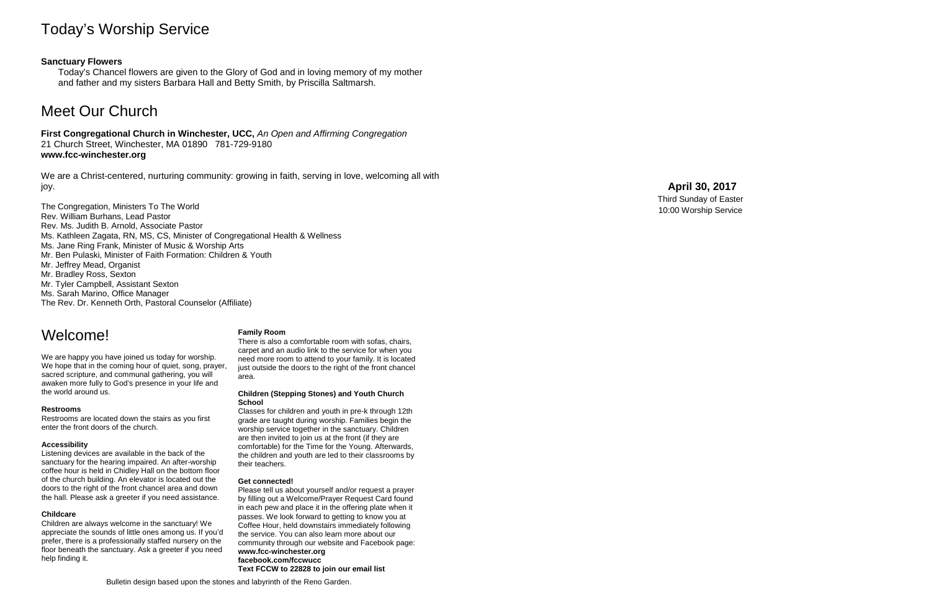# Today's Worship Service

## **Sanctuary Flowers**

Today's Chancel flowers are given to the Glory of God and in loving memory of my mother and father and my sisters Barbara Hall and Betty Smith, by Priscilla Saltmarsh.

# Meet Our Church

**First Congregational Church in Winchester, UCC,** *An Open and Affirming Congregation* 21 Church Street, Winchester, MA 01890 781 -729 -9180 **www.fcc -winchester.org**

We are a Christ -centered, nurturing community: growing in faith, serving in love, welcoming all with joy.

We are happy you have joined us today for worship. We hope that in the coming hour of quiet, song, prayer, sacred scripture, and communal gathering, you will awaken more fully to God's presence in your life and the world around us.

- The Congregation, Ministers To The World Rev. William Burhans, Lead Pastor Rev. Ms. Judith B. Arnold, Associate Pastor Ms. Kathleen Zagata, RN, MS, CS, Minister of Congregational Health & Wellness Ms. Jane Ring Frank, Minister of Music & Worship Arts Mr. Ben Pulaski, Minister of Faith Formation: Children & Youth Mr. Jeffrey Mead, Organist Mr. Bradley Ross, Sexton Mr. Tyler Campbell, Assistant Sexton Ms. Sarah Marino, Office Manager
- The Rev. Dr. Kenneth Orth, Pastoral Counselor (Affiliate)

# **April 30 , 2017**

Thir d Sunday of Easter 10:00 Worship Service

Bulletin design based upon the stones and labyrinth of the Reno Garden .

# Welcome!

### **Restrooms**

Restrooms are located down the stairs as you first enter the front doors of the church.

### **Accessibility**

Listening devices are available in the back of the sanctuary for the hearing impaired. An after -worship coffee hour is held in Chidley Hall on the bottom floor of the church building. An elevator is located out the doors to the right of the front chancel area and down the hall. Please ask a greeter if you need assistance.

### **Childcare**

Children are always welcome in the sanctuary! We appreciate the sounds of little ones among us. If you'd prefer, there is a professionally staffed nursery on the floor beneath the sanctuary. Ask a greeter if you need help finding it.

### **Family Room**

There is also a comfortable room with sofas, chairs, carpet and an audio link to the service for when you need more room to attend to your family. It is located just outside the doors to the right of the front chancel area.

### **Children (Stepping Stones) and Youth Church School**

Classes for children and youth in pre -k through 12th grade are taught during worship. Families begin the worship service together in the sanctuary. Children are then invited to join us at the front (if they are comfortable) for the Time for the Young. Afterwards, the children and youth are led to their classrooms by their teachers.

### **Get connected!**

Please tell us about yourself and/or request a prayer by filling out a Welcome/Prayer Request Card found in each pew and place it in the offering plate when it passes. We look forward to getting to know you at Coffee Hour, held downstairs immediately following the service. You can also learn more about our community through our website and Facebook page: **www.fcc -winchester.org facebook.com/fccwucc Text FCCW to 22828 to join our email list**